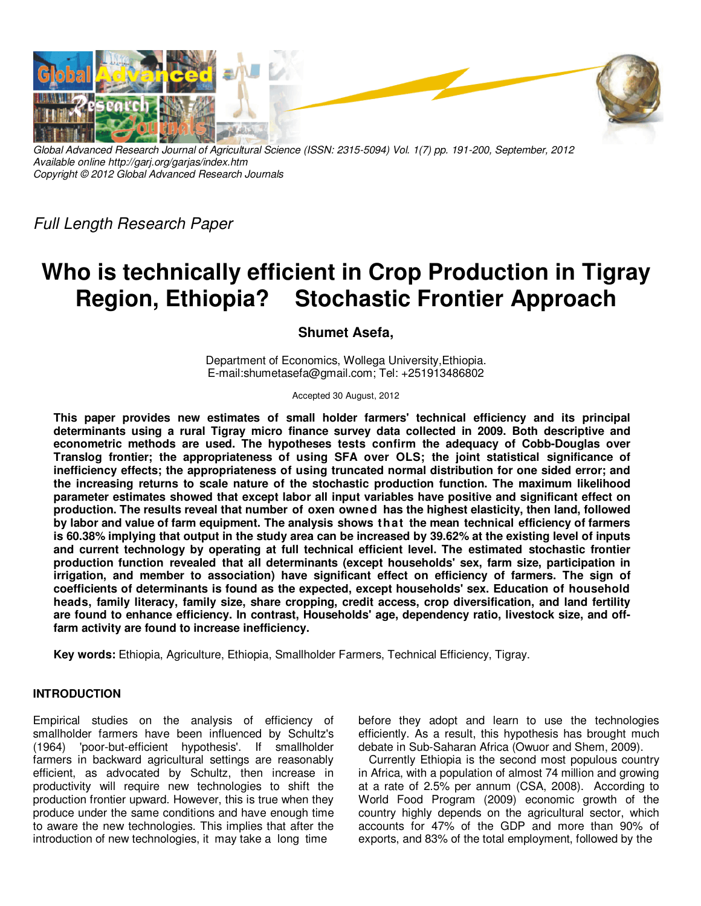

*Global Advanced Research Journal of Agricultural Science (ISSN: 2315-5094) Vol. 1(7) pp. 191-200, September, 2012 Available online http://garj.org/garjas/index.htm Copyright © 2012 Global Advanced Research Journals* 

*Full Length Research Paper* 

# **Who is technically efficient in Crop Production in Tigray Region, Ethiopia? Stochastic Frontier Approach**

## **Shumet Asefa,**

Department of Economics, Wollega University,Ethiopia. E-mail:shumetasefa@gmail.com; Tel: +251913486802

Accepted 30 August, 2012

**This paper provides new estimates of small holder farmers' technical efficiency and its principal determinants using a rural Tigray micro finance survey data collected in 2009. Both descriptive and econometric methods are used. The hypotheses tests confirm the adequacy of Cobb-Douglas over Translog frontier; the appropriateness of using SFA over OLS; the joint statistical significance of inefficiency effects; the appropriateness of using truncated normal distribution for one sided error; and the increasing returns to scale nature of the stochastic production function. The maximum likelihood parameter estimates showed that except labor all input variables have positive and significant effect on production. The results reveal that number of oxen owned has the highest elasticity, then land, followed by labor and value of farm equipment. The analysis shows that the mean technical efficiency of farmers is 60.38% implying that output in the study area can be increased by 39.62% at the existing level of inputs and current technology by operating at full technical efficient level. The estimated stochastic frontier production function revealed that all determinants (except households' sex, farm size, participation in irrigation, and member to association) have significant effect on efficiency of farmers. The sign of coefficients of determinants is found as the expected, except households' sex. Education of household heads, family literacy, family size, share cropping, credit access, crop diversification, and land fertility are found to enhance efficiency. In contrast, Households' age, dependency ratio, livestock size, and offfarm activity are found to increase inefficiency.** 

**Key words:** Ethiopia, Agriculture, Ethiopia, Smallholder Farmers, Technical Efficiency, Tigray.

### **INTRODUCTION**

Empirical studies on the analysis of efficiency of smallholder farmers have been influenced by Schultz's (1964) 'poor-but-efficient hypothesis'. If smallholder farmers in backward agricultural settings are reasonably efficient, as advocated by Schultz, then increase in productivity will require new technologies to shift the production frontier upward. However, this is true when they produce under the same conditions and have enough time to aware the new technologies. This implies that after the introduction of new technologies, it may take a long time

before they adopt and learn to use the technologies efficiently. As a result, this hypothesis has brought much debate in Sub-Saharan Africa (Owuor and Shem, 2009).

Currently Ethiopia is the second most populous country in Africa, with a population of almost 74 million and growing at a rate of 2.5% per annum (CSA, 2008). According to World Food Program (2009) economic growth of the country highly depends on the agricultural sector, which accounts for 47% of the GDP and more than 90% of exports, and 83% of the total employment, followed by the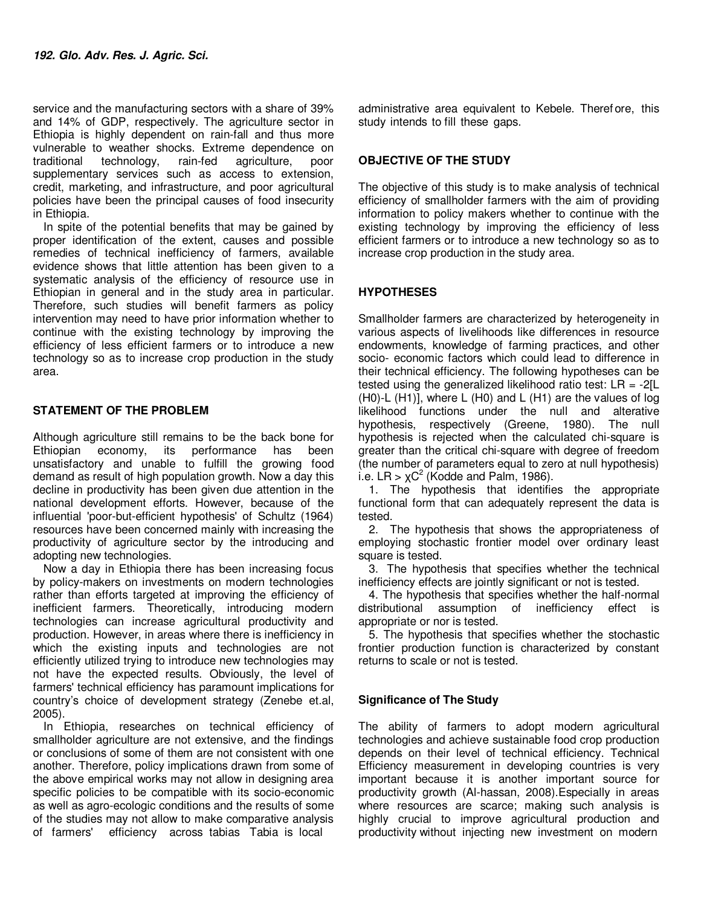service and the manufacturing sectors with a share of 39% and 14% of GDP, respectively. The agriculture sector in Ethiopia is highly dependent on rain-fall and thus more vulnerable to weather shocks. Extreme dependence on traditional technology, rain-fed agriculture, poor traditional technology, rain-fed agriculture, poor supplementary services such as access to extension, credit, marketing, and infrastructure, and poor agricultural policies have been the principal causes of food insecurity in Ethiopia.

In spite of the potential benefits that may be gained by proper identification of the extent, causes and possible remedies of technical inefficiency of farmers, available evidence shows that little attention has been given to a systematic analysis of the efficiency of resource use in Ethiopian in general and in the study area in particular. Therefore, such studies will benefit farmers as policy intervention may need to have prior information whether to continue with the existing technology by improving the efficiency of less efficient farmers or to introduce a new technology so as to increase crop production in the study area.

### **STATEMENT OF THE PROBLEM**

Although agriculture still remains to be the back bone for Ethiopian economy, its performance has been unsatisfactory and unable to fulfill the growing food demand as result of high population growth. Now a day this decline in productivity has been given due attention in the national development efforts. However, because of the influential 'poor-but-efficient hypothesis' of Schultz (1964) resources have been concerned mainly with increasing the productivity of agriculture sector by the introducing and adopting new technologies.

Now a day in Ethiopia there has been increasing focus by policy-makers on investments on modern technologies rather than efforts targeted at improving the efficiency of inefficient farmers. Theoretically, introducing modern technologies can increase agricultural productivity and production. However, in areas where there is inefficiency in which the existing inputs and technologies are not efficiently utilized trying to introduce new technologies may not have the expected results. Obviously, the level of farmers' technical efficiency has paramount implications for country's choice of development strategy (Zenebe et.al, 2005).

In Ethiopia, researches on technical efficiency of smallholder agriculture are not extensive, and the findings or conclusions of some of them are not consistent with one another. Therefore, policy implications drawn from some of the above empirical works may not allow in designing area specific policies to be compatible with its socio-economic as well as agro-ecologic conditions and the results of some of the studies may not allow to make comparative analysis of farmers' efficiency across tabias Tabia is local

administrative area equivalent to Kebele. Theref ore, this study intends to fill these gaps.

### **OBJECTIVE OF THE STUDY**

The objective of this study is to make analysis of technical efficiency of smallholder farmers with the aim of providing information to policy makers whether to continue with the existing technology by improving the efficiency of less efficient farmers or to introduce a new technology so as to increase crop production in the study area.

### **HYPOTHESES**

Smallholder farmers are characterized by heterogeneity in various aspects of livelihoods like differences in resource endowments, knowledge of farming practices, and other socio- economic factors which could lead to difference in their technical efficiency. The following hypotheses can be tested using the generalized likelihood ratio test:  $LR = -2/L$ (H0)-L (H1)], where L (H0) and L (H1) are the values of log likelihood functions under the null and alterative hypothesis, respectively (Greene, 1980). The null hypothesis is rejected when the calculated chi-square is greater than the critical chi-square with degree of freedom (the number of parameters equal to zero at null hypothesis) i.e. LR  $> \chi$ C<sup>2</sup> (Kodde and Palm, 1986).

1. The hypothesis that identifies the appropriate functional form that can adequately represent the data is tested.

2. The hypothesis that shows the appropriateness of employing stochastic frontier model over ordinary least square is tested.

3. The hypothesis that specifies whether the technical inefficiency effects are jointly significant or not is tested.

4. The hypothesis that specifies whether the half-normal distributional assumption of inefficiency effect is appropriate or nor is tested.

5. The hypothesis that specifies whether the stochastic frontier production function is characterized by constant returns to scale or not is tested.

### **Significance of The Study**

The ability of farmers to adopt modern agricultural technologies and achieve sustainable food crop production depends on their level of technical efficiency. Technical Efficiency measurement in developing countries is very important because it is another important source for productivity growth (Al-hassan, 2008).Especially in areas where resources are scarce; making such analysis is highly crucial to improve agricultural production and productivity without injecting new investment on modern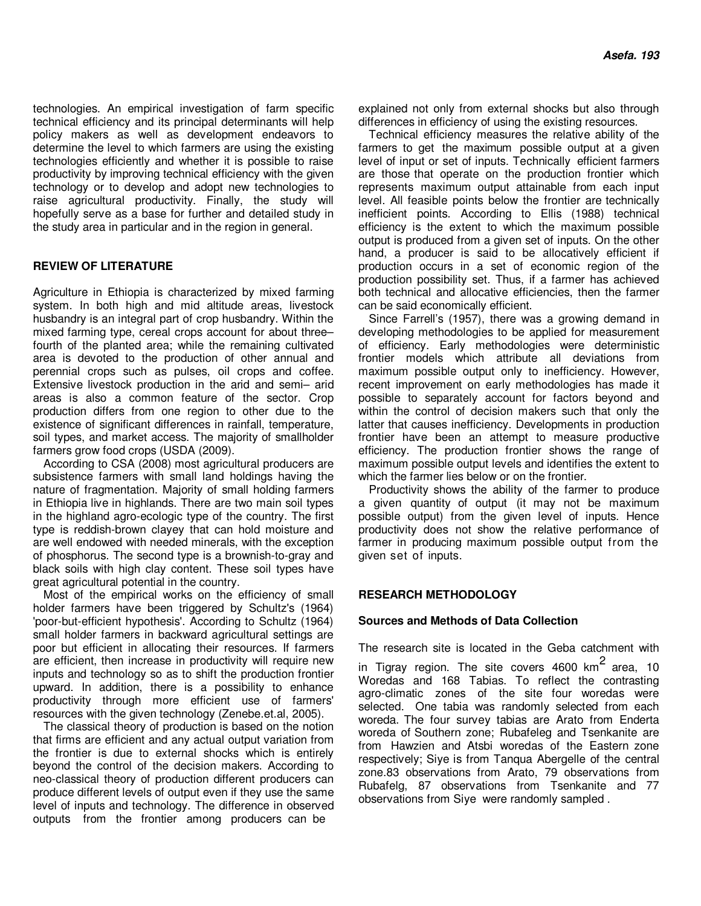technologies. An empirical investigation of farm specific technical efficiency and its principal determinants will help policy makers as well as development endeavors to determine the level to which farmers are using the existing technologies efficiently and whether it is possible to raise productivity by improving technical efficiency with the given technology or to develop and adopt new technologies to raise agricultural productivity. Finally, the study will hopefully serve as a base for further and detailed study in the study area in particular and in the region in general.

### **REVIEW OF LITERATURE**

Agriculture in Ethiopia is characterized by mixed farming system. In both high and mid altitude areas, livestock husbandry is an integral part of crop husbandry. Within the mixed farming type, cereal crops account for about three– fourth of the planted area; while the remaining cultivated area is devoted to the production of other annual and perennial crops such as pulses, oil crops and coffee. Extensive livestock production in the arid and semi– arid areas is also a common feature of the sector. Crop production differs from one region to other due to the existence of significant differences in rainfall, temperature, soil types, and market access. The majority of smallholder farmers grow food crops (USDA (2009).

According to CSA (2008) most agricultural producers are subsistence farmers with small land holdings having the nature of fragmentation. Majority of small holding farmers in Ethiopia live in highlands. There are two main soil types in the highland agro-ecologic type of the country. The first type is reddish-brown clayey that can hold moisture and are well endowed with needed minerals, with the exception of phosphorus. The second type is a brownish-to-gray and black soils with high clay content. These soil types have great agricultural potential in the country.

Most of the empirical works on the efficiency of small holder farmers have been triggered by Schultz's (1964) 'poor-but-efficient hypothesis'. According to Schultz (1964) small holder farmers in backward agricultural settings are poor but efficient in allocating their resources. If farmers are efficient, then increase in productivity will require new inputs and technology so as to shift the production frontier upward. In addition, there is a possibility to enhance productivity through more efficient use of farmers' resources with the given technology (Zenebe.et.al, 2005).

The classical theory of production is based on the notion that firms are efficient and any actual output variation from the frontier is due to external shocks which is entirely beyond the control of the decision makers. According to neo-classical theory of production different producers can produce different levels of output even if they use the same level of inputs and technology. The difference in observed outputs from the frontier among producers can be

explained not only from external shocks but also through differences in efficiency of using the existing resources.

Technical efficiency measures the relative ability of the farmers to get the maximum possible output at a given level of input or set of inputs. Technically efficient farmers are those that operate on the production frontier which represents maximum output attainable from each input level. All feasible points below the frontier are technically inefficient points. According to Ellis (1988) technical efficiency is the extent to which the maximum possible output is produced from a given set of inputs. On the other hand, a producer is said to be allocatively efficient if production occurs in a set of economic region of the production possibility set. Thus, if a farmer has achieved both technical and allocative efficiencies, then the farmer can be said economically efficient.

Since Farrell's (1957), there was a growing demand in developing methodologies to be applied for measurement of efficiency. Early methodologies were deterministic frontier models which attribute all deviations from maximum possible output only to inefficiency. However, recent improvement on early methodologies has made it possible to separately account for factors beyond and within the control of decision makers such that only the latter that causes inefficiency. Developments in production frontier have been an attempt to measure productive efficiency. The production frontier shows the range of maximum possible output levels and identifies the extent to which the farmer lies below or on the frontier.

Productivity shows the ability of the farmer to produce a given quantity of output (it may not be maximum possible output) from the given level of inputs. Hence productivity does not show the relative performance of farmer in producing maximum possible output from the given set of inputs.

### **RESEARCH METHODOLOGY**

### **Sources and Methods of Data Collection**

The research site is located in the Geba catchment with

in Tigray region. The site covers 4600 km $^{\mathsf{2}}$  area, 10 Woredas and 168 Tabias. To reflect the contrasting agro-climatic zones of the site four woredas were selected. One tabia was randomly selected from each woreda. The four survey tabias are Arato from Enderta woreda of Southern zone; Rubafeleg and Tsenkanite are from Hawzien and Atsbi woredas of the Eastern zone respectively; Siye is from Tanqua Abergelle of the central zone.83 observations from Arato, 79 observations from Rubafelg, 87 observations from Tsenkanite and 77 observations from Siye were randomly sampled .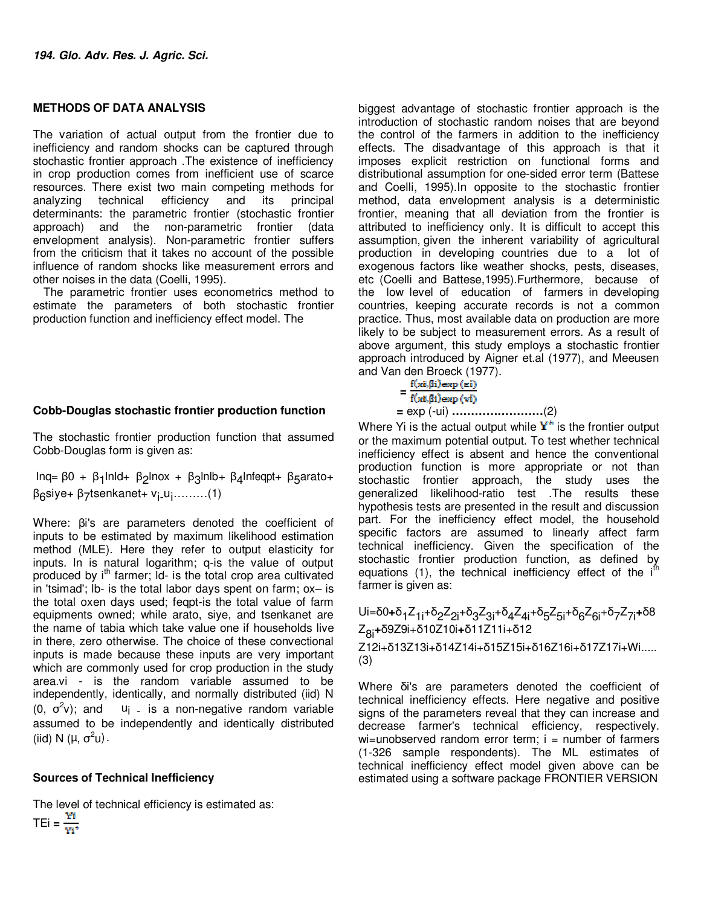### **METHODS OF DATA ANALYSIS**

The variation of actual output from the frontier due to inefficiency and random shocks can be captured through stochastic frontier approach .The existence of inefficiency in crop production comes from inefficient use of scarce resources. There exist two main competing methods for<br>analyzing technical efficiency and its principal analyzing technical efficiency and its principal determinants: the parametric frontier (stochastic frontier approach) and the non-parametric frontier (data envelopment analysis). Non-parametric frontier suffers from the criticism that it takes no account of the possible influence of random shocks like measurement errors and other noises in the data (Coelli, 1995).

The parametric frontier uses econometrics method to estimate the parameters of both stochastic frontier production function and inefficiency effect model. The

### **Cobb-Douglas stochastic frontier production function**

The stochastic frontier production function that assumed Cobb-Douglas form is given as:

lnq= β0 + β<sub>1</sub>lnld+ β<sub>2</sub>lnox + β<sub>3</sub>lnlb+ β<sub>4</sub>lnfeqpt+ β<sub>5</sub>arato+ β<sub>6</sub>siye+ β<sub>7</sub>tsenkanet+ v<sub>i-</sub>u<sub>i</sub>.........(1)

Where: βi's are parameters denoted the coefficient of inputs to be estimated by maximum likelihood estimation method (MLE). Here they refer to output elasticity for inputs. ln is natural logarithm; q-is the value of output produced by i<sup>th</sup> farmer; Id- is the total crop area cultivated in 'tsimad'; lb- is the total labor days spent on farm; ox– is the total oxen days used; feqpt-is the total value of farm equipments owned; while arato, siye, and tsenkanet are the name of tabia which take value one if households live in there, zero otherwise. The choice of these convectional inputs is made because these inputs are very important which are commonly used for crop production in the study area.vi - is the random variable assumed to be independently, identically, and normally distributed (iid) N  $(0, σ<sup>2</sup>)$  $u_i$  - is a non-negative random variable assumed to be independently and identically distributed (iid) N (μ,  $\sigma^2$ u)  $\cdot$ 

### **Sources of Technical Inefficiency**

The level of technical efficiency is estimated as:

 $TEi = \frac{VI}{V}$ 

biggest advantage of stochastic frontier approach is the introduction of stochastic random noises that are beyond the control of the farmers in addition to the inefficiency effects. The disadvantage of this approach is that it imposes explicit restriction on functional forms and distributional assumption for one-sided error term (Battese and Coelli, 1995).In opposite to the stochastic frontier method, data envelopment analysis is a deterministic frontier, meaning that all deviation from the frontier is attributed to inefficiency only. It is difficult to accept this assumption, given the inherent variability of agricultural production in developing countries due to a lot of exogenous factors like weather shocks, pests, diseases, etc (Coelli and Battese,1995).Furthermore, because of the low level of education of farmers in developing countries, keeping accurate records is not a common practice. Thus, most available data on production are more likely to be subject to measurement errors. As a result of above argument, this study employs a stochastic frontier approach introduced by Aigner et.al (1977), and Meeusen and Van den Broeck (1977).

# $=\frac{f(xi,\beta i)\exp{(\pi i)}}{f(xi,\beta i)\exp{(\nu i)}}$

 **=** exp (-ui) **……………………**(2)

Where Yi is the actual output while  $Y^*$  is the frontier output or the maximum potential output. To test whether technical inefficiency effect is absent and hence the conventional production function is more appropriate or not than stochastic frontier approach, the study uses the generalized likelihood-ratio test .The results these hypothesis tests are presented in the result and discussion part. For the inefficiency effect model, the household specific factors are assumed to linearly affect farm technical inefficiency. Given the specification of the stochastic frontier production function, as defined by equations (1), the technical inefficiency effect of the i<sup>fh</sup> farmer is given as:

Ui=δ0**+**δ<sub>1</sub>Ζ<sub>1i</sub>+δ<sub>2</sub>Ζ<sub>2i</sub>+δ<sub>3</sub>Ζ<sub>3i</sub>+δ<sub>4</sub>Ζ<sub>4i</sub>+δ<sub>5</sub>Ζ<sub>5i</sub>+δ<sub>6</sub>Ζ<sub>6i</sub>+δ<sub>7</sub>Ζ<sub>7i</sub>+δ8 Z8i**+**δ9Z9i+δ10Z10i**+**δ11Z11i+δ12 Z12i+δ13Z13i+δ14Z14i+δ15Z15i+δ16Z16i+δ17Z17i+Wi..... (3)

Where δi's are parameters denoted the coefficient of technical inefficiency effects. Here negative and positive signs of the parameters reveal that they can increase and decrease farmer's technical efficiency, respectively.  $wi=$ unobserved random error term;  $i =$  number of farmers (1-326 sample respondents). The ML estimates of technical inefficiency effect model given above can be estimated using a software package FRONTIER VERSION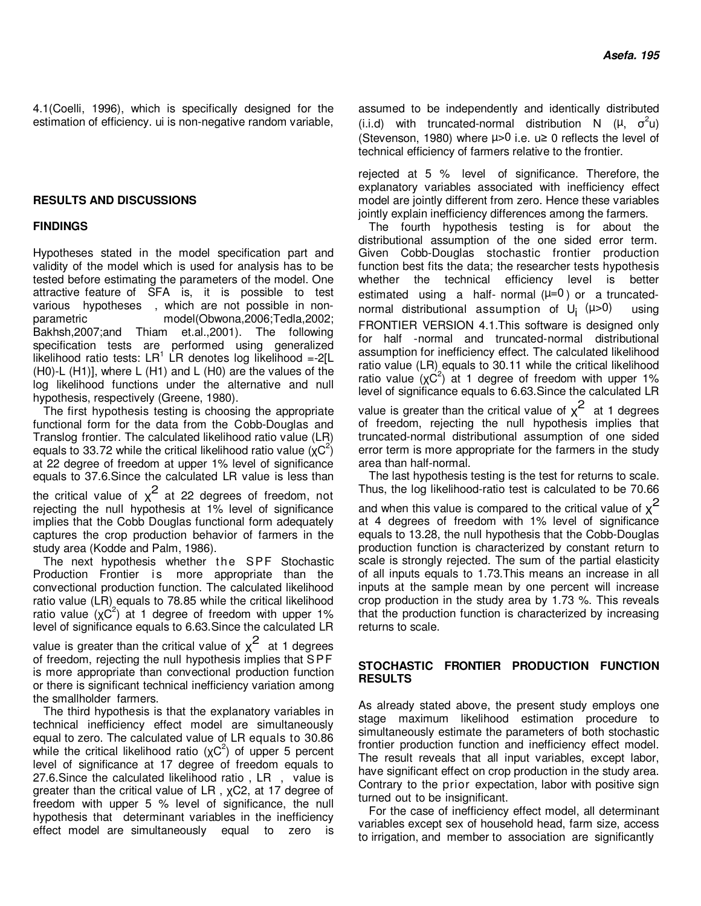4.1(Coelli, 1996), which is specifically designed for the estimation of efficiency. ui is non-negative random variable,

### **RESULTS AND DISCUSSIONS**

### **FINDINGS**

Hypotheses stated in the model specification part and validity of the model which is used for analysis has to be tested before estimating the parameters of the model. One attractive feature of SFA is, it is possible to test various hypotheses , which are not possible in nonparametric model(Obwona,2006;Tedla,2002; Bakhsh,2007;and Thiam et.al.,2001). The following specification tests are performed using generalized likelihood ratio tests:  $LR^1$  LR denotes log likelihood =-2[L (H0)-L (H1)], where L (H1) and L (H0) are the values of the log likelihood functions under the alternative and null hypothesis, respectively (Greene, 1980).

The first hypothesis testing is choosing the appropriate functional form for the data from the Cobb-Douglas and Translog frontier. The calculated likelihood ratio value (LR) equals to 33.72 while the critical likelihood ratio value  $(\chi C^2)$ at 22 degree of freedom at upper 1% level of significance equals to 37.6.Since the calculated LR value is less than the critical value of  $\chi^2$  at 22 degrees of freedom, not rejecting the null hypothesis at 1% level of significance implies that the Cobb Douglas functional form adequately captures the crop production behavior of farmers in the study area (Kodde and Palm, 1986).

The next hypothesis whether the SPF Stochastic Production Frontier is more appropriate than the convectional production function. The calculated likelihood ratio value (LR) equals to 78.85 while the critical likelihood ratio value  $(\chi C^2)$  at 1 degree of freedom with upper 1% level of significance equals to 6.63.Since the calculated LR

value is greater than the critical value of  $\chi^2$  at 1 degrees of freedom, rejecting the null hypothesis implies that S PF is more appropriate than convectional production function or there is significant technical inefficiency variation among the smallholder farmers.

The third hypothesis is that the explanatory variables in technical inefficiency effect model are simultaneously equal to zero. The calculated value of LR equals to 30.86 while the critical likelihood ratio  $(\chi C^2)$  of upper 5 percent level of significance at 17 degree of freedom equals to 27.6.Since the calculated likelihood ratio , LR , value is greater than the critical value of LR , χC2, at 17 degree of freedom with upper 5 % level of significance, the null hypothesis that determinant variables in the inefficiency effect model are simultaneously equal to zero is

assumed to be independently and identically distributed (i.i.d) with truncated-normal distribution N ( $\mu$ ,  $\sigma^2 u$ ) (Stevenson, 1980) where  $\mu > 0$  i.e.  $\mu \geq 0$  reflects the level of technical efficiency of farmers relative to the frontier.

rejected at 5 % level of significance. Therefore, the explanatory variables associated with inefficiency effect model are jointly different from zero. Hence these variables jointly explain inefficiency differences among the farmers.

The fourth hypothesis testing is for about the distributional assumption of the one sided error term. Given Cobb-Douglas stochastic frontier production function best fits the data; the researcher tests hypothesis whether the technical efficiency level is better estimated using a half- normal  $(\mu=0)$  or a truncatednormal distributional assumption of U<sub>i</sub> (µ>0) using FRONTIER VERSION 4.1.This software is designed only for half -normal and truncated-normal distributional assumption for inefficiency effect. The calculated likelihood ratio value (LR) equals to 30.11 while the critical likelihood ratio value  $(\chi C^2)$  at 1 degree of freedom with upper 1% level of significance equals to 6.63.Since the calculated LR value is greater than the critical value of  $\chi^2$  at 1 degrees

of freedom, rejecting the null hypothesis implies that truncated-normal distributional assumption of one sided error term is more appropriate for the farmers in the study area than half-normal.

The last hypothesis testing is the test for returns to scale. Thus, the log likelihood-ratio test is calculated to be 70.66 and when this value is compared to the critical value of  $\chi^2$ at 4 degrees of freedom with 1% level of significance equals to 13.28, the null hypothesis that the Cobb-Douglas production function is characterized by constant return to scale is strongly rejected. The sum of the partial elasticity of all inputs equals to 1.73.This means an increase in all inputs at the sample mean by one percent will increase crop production in the study area by 1.73 %. This reveals that the production function is characterized by increasing returns to scale.

### **STOCHASTIC FRONTIER PRODUCTION FUNCTION RESULTS**

As already stated above, the present study employs one stage maximum likelihood estimation procedure to simultaneously estimate the parameters of both stochastic frontier production function and inefficiency effect model. The result reveals that all input variables, except labor, have significant effect on crop production in the study area. Contrary to the prior expectation, labor with positive sign turned out to be insignificant.

For the case of inefficiency effect model, all determinant variables except sex of household head, farm size, access to irrigation, and member to association are significantly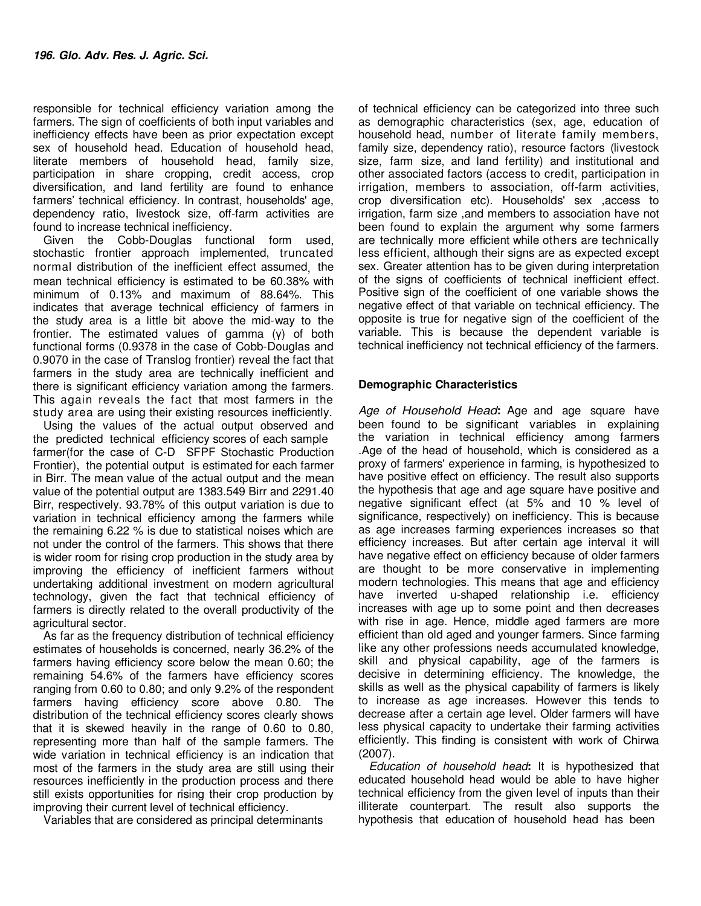responsible for technical efficiency variation among the farmers. The sign of coefficients of both input variables and inefficiency effects have been as prior expectation except sex of household head. Education of household head, literate members of household head, family size, participation in share cropping, credit access, crop diversification, and land fertility are found to enhance farmers' technical efficiency. In contrast, households' age, dependency ratio, livestock size, off-farm activities are found to increase technical inefficiency.

Given the Cobb-Douglas functional form used, stochastic frontier approach implemented, truncated normal distribution of the inefficient effect assumed, the mean technical efficiency is estimated to be 60.38% with minimum of 0.13% and maximum of 88.64%. This indicates that average technical efficiency of farmers in the study area is a little bit above the mid-way to the frontier. The estimated values of gamma (γ) of both functional forms (0.9378 in the case of Cobb-Douglas and 0.9070 in the case of Translog frontier) reveal the fact that farmers in the study area are technically inefficient and there is significant efficiency variation among the farmers. This again reveals the fact that most farmers in the study area are using their existing resources inefficiently.

Using the values of the actual output observed and the predicted technical efficiency scores of each sample farmer(for the case of C-D SFPF Stochastic Production Frontier), the potential output is estimated for each farmer in Birr. The mean value of the actual output and the mean value of the potential output are 1383.549 Birr and 2291.40 Birr, respectively. 93.78% of this output variation is due to variation in technical efficiency among the farmers while the remaining 6.22 % is due to statistical noises which are not under the control of the farmers. This shows that there is wider room for rising crop production in the study area by improving the efficiency of inefficient farmers without undertaking additional investment on modern agricultural technology, given the fact that technical efficiency of farmers is directly related to the overall productivity of the agricultural sector.

As far as the frequency distribution of technical efficiency estimates of households is concerned, nearly 36.2% of the farmers having efficiency score below the mean 0.60; the remaining 54.6% of the farmers have efficiency scores ranging from 0.60 to 0.80; and only 9.2% of the respondent farmers having efficiency score above 0.80. The distribution of the technical efficiency scores clearly shows that it is skewed heavily in the range of 0.60 to 0.80, representing more than half of the sample farmers. The wide variation in technical efficiency is an indication that most of the farmers in the study area are still using their resources inefficiently in the production process and there still exists opportunities for rising their crop production by improving their current level of technical efficiency.

Variables that are considered as principal determinants

of technical efficiency can be categorized into three such as demographic characteristics (sex, age, education of household head, number of literate family members, family size, dependency ratio), resource factors (livestock size, farm size, and land fertility) and institutional and other associated factors (access to credit, participation in irrigation, members to association, off-farm activities, crop diversification etc). Households' sex ,access to irrigation, farm size ,and members to association have not been found to explain the argument why some farmers are technically more efficient while others are technically less efficient, although their signs are as expected except sex. Greater attention has to be given during interpretation of the signs of coefficients of technical inefficient effect. Positive sign of the coefficient of one variable shows the negative effect of that variable on technical efficiency. The opposite is true for negative sign of the coefficient of the variable. This is because the dependent variable is technical inefficiency not technical efficiency of the farmers.

### **Demographic Characteristics**

*Age of Household Head***:** Age and age square have been found to be significant variables in explaining the variation in technical efficiency among farmers .Age of the head of household, which is considered as a proxy of farmers' experience in farming, is hypothesized to have positive effect on efficiency. The result also supports the hypothesis that age and age square have positive and negative significant effect (at 5% and 10 % level of significance, respectively) on inefficiency. This is because as age increases farming experiences increases so that efficiency increases. But after certain age interval it will have negative effect on efficiency because of older farmers are thought to be more conservative in implementing modern technologies. This means that age and efficiency have inverted u-shaped relationship i.e. efficiency increases with age up to some point and then decreases with rise in age. Hence, middle aged farmers are more efficient than old aged and younger farmers. Since farming like any other professions needs accumulated knowledge, skill and physical capability, age of the farmers is decisive in determining efficiency. The knowledge, the skills as well as the physical capability of farmers is likely to increase as age increases. However this tends to decrease after a certain age level. Older farmers will have less physical capacity to undertake their farming activities efficiently. This finding is consistent with work of Chirwa (2007).

*Education of household head***:** It is hypothesized that educated household head would be able to have higher technical efficiency from the given level of inputs than their illiterate counterpart. The result also supports the hypothesis that education of household head has been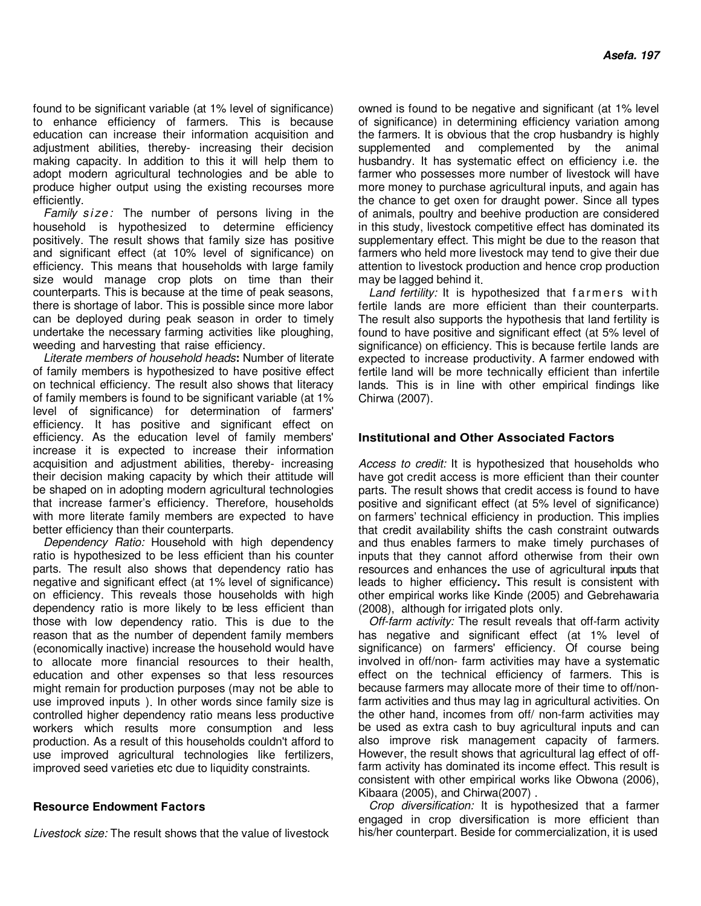found to be significant variable (at 1% level of significance) to enhance efficiency of farmers. This is because education can increase their information acquisition and adjustment abilities, thereby- increasing their decision making capacity. In addition to this it will help them to adopt modern agricultural technologies and be able to produce higher output using the existing recourses more efficiently.

*Family size:* The number of persons living in the household is hypothesized to determine efficiency positively. The result shows that family size has positive and significant effect (at 10% level of significance) on efficiency. This means that households with large family size would manage crop plots on time than their counterparts. This is because at the time of peak seasons, there is shortage of labor. This is possible since more labor can be deployed during peak season in order to timely undertake the necessary farming activities like ploughing, weeding and harvesting that raise efficiency.

*Literate members of household heads***:** Number of literate of family members is hypothesized to have positive effect on technical efficiency. The result also shows that literacy of family members is found to be significant variable (at 1% level of significance) for determination of farmers' efficiency. It has positive and significant effect on efficiency. As the education level of family members' increase it is expected to increase their information acquisition and adjustment abilities, thereby- increasing their decision making capacity by which their attitude will be shaped on in adopting modern agricultural technologies that increase farmer's efficiency. Therefore, households with more literate family members are expected to have better efficiency than their counterparts.

*Dependency Ratio:* Household with high dependency ratio is hypothesized to be less efficient than his counter parts. The result also shows that dependency ratio has negative and significant effect (at 1% level of significance) on efficiency. This reveals those households with high dependency ratio is more likely to be less efficient than those with low dependency ratio. This is due to the reason that as the number of dependent family members (economically inactive) increase the household would have to allocate more financial resources to their health, education and other expenses so that less resources might remain for production purposes (may not be able to use improved inputs ). In other words since family size is controlled higher dependency ratio means less productive workers which results more consumption and less production. As a result of this households couldn't afford to use improved agricultural technologies like fertilizers, improved seed varieties etc due to liquidity constraints.

### **Resource Endowment Factors**

*Livestock size:* The result shows that the value of livestock

owned is found to be negative and significant (at 1% level of significance) in determining efficiency variation among the farmers. It is obvious that the crop husbandry is highly supplemented and complemented by the animal husbandry. It has systematic effect on efficiency i.e. the farmer who possesses more number of livestock will have more money to purchase agricultural inputs, and again has the chance to get oxen for draught power. Since all types of animals, poultry and beehive production are considered in this study, livestock competitive effect has dominated its supplementary effect. This might be due to the reason that farmers who held more livestock may tend to give their due attention to livestock production and hence crop production may be lagged behind it.

Land fertility: It is hypothesized that farmers with fertile lands are more efficient than their counterparts. The result also supports the hypothesis that land fertility is found to have positive and significant effect (at 5% level of significance) on efficiency. This is because fertile lands are expected to increase productivity. A farmer endowed with fertile land will be more technically efficient than infertile lands. This is in line with other empirical findings like Chirwa (2007).

### **Institutional and Other Associated Factors**

*Access to credit:* It is hypothesized that households who have got credit access is more efficient than their counter parts. The result shows that credit access is found to have positive and significant effect (at 5% level of significance) on farmers' technical efficiency in production. This implies that credit availability shifts the cash constraint outwards and thus enables farmers to make timely purchases of inputs that they cannot afford otherwise from their own resources and enhances the use of agricultural inputs that leads to higher efficiency**.** This result is consistent with other empirical works like Kinde (2005) and Gebrehawaria (2008), although for irrigated plots only.

*Off-farm activity:* The result reveals that off-farm activity has negative and significant effect (at 1% level of significance) on farmers' efficiency. Of course being involved in off/non- farm activities may have a systematic effect on the technical efficiency of farmers. This is because farmers may allocate more of their time to off/nonfarm activities and thus may lag in agricultural activities. On the other hand, incomes from off/ non-farm activities may be used as extra cash to buy agricultural inputs and can also improve risk management capacity of farmers. However, the result shows that agricultural lag effect of offfarm activity has dominated its income effect. This result is consistent with other empirical works like Obwona (2006), Kibaara (2005), and Chirwa(2007) .

*Crop diversification:* It is hypothesized that a farmer engaged in crop diversification is more efficient than his/her counterpart. Beside for commercialization, it is used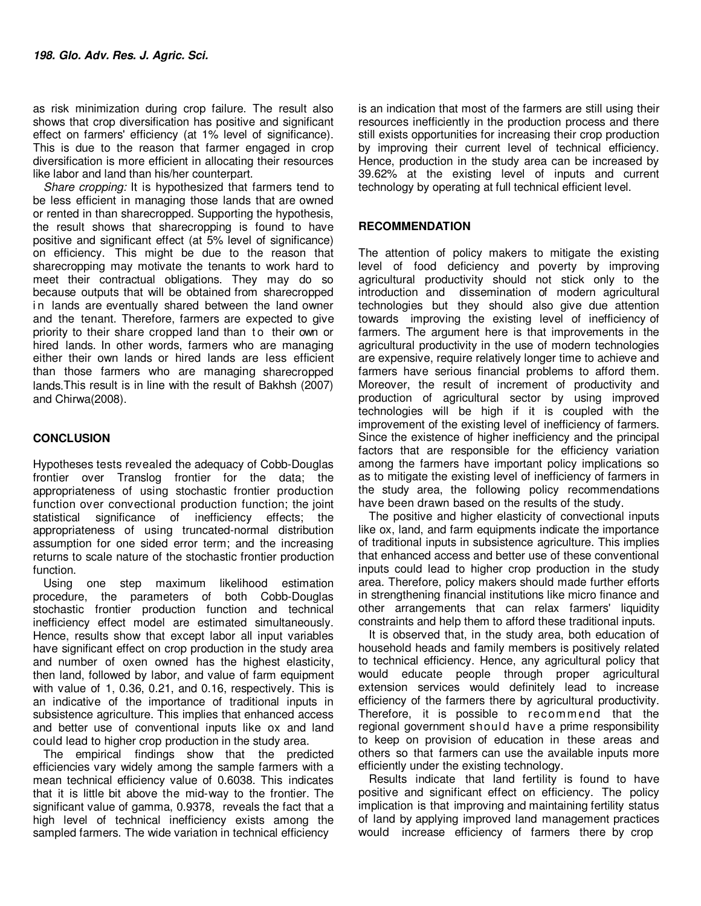as risk minimization during crop failure. The result also shows that crop diversification has positive and significant effect on farmers' efficiency (at 1% level of significance). This is due to the reason that farmer engaged in crop diversification is more efficient in allocating their resources like labor and land than his/her counterpart.

*Share cropping:* It is hypothesized that farmers tend to be less efficient in managing those lands that are owned or rented in than sharecropped. Supporting the hypothesis, the result shows that sharecropping is found to have positive and significant effect (at 5% level of significance) on efficiency. This might be due to the reason that sharecropping may motivate the tenants to work hard to meet their contractual obligations. They may do so because outputs that will be obtained from sharecropped in lands are eventually shared between the land owner and the tenant. Therefore, farmers are expected to give priority to their share cropped land than to their own or hired lands. In other words, farmers who are managing either their own lands or hired lands are less efficient than those farmers who are managing sharecropped lands.This result is in line with the result of Bakhsh (2007) and Chirwa(2008).

### **CONCLUSION**

Hypotheses tests revealed the adequacy of Cobb-Douglas frontier over Translog frontier for the data; the appropriateness of using stochastic frontier production function over convectional production function; the joint statistical significance of inefficiency effects; the appropriateness of using truncated-normal distribution assumption for one sided error term; and the increasing returns to scale nature of the stochastic frontier production function.

Using one step maximum likelihood estimation procedure, the parameters of both Cobb-Douglas stochastic frontier production function and technical inefficiency effect model are estimated simultaneously. Hence, results show that except labor all input variables have significant effect on crop production in the study area and number of oxen owned has the highest elasticity, then land, followed by labor, and value of farm equipment with value of 1, 0.36, 0.21, and 0.16, respectively. This is an indicative of the importance of traditional inputs in subsistence agriculture. This implies that enhanced access and better use of conventional inputs like ox and land could lead to higher crop production in the study area.

The empirical findings show that the predicted efficiencies vary widely among the sample farmers with a mean technical efficiency value of 0.6038. This indicates that it is little bit above the mid-way to the frontier. The significant value of gamma, 0.9378, reveals the fact that a high level of technical inefficiency exists among the sampled farmers. The wide variation in technical efficiency

is an indication that most of the farmers are still using their resources inefficiently in the production process and there still exists opportunities for increasing their crop production by improving their current level of technical efficiency. Hence, production in the study area can be increased by 39.62% at the existing level of inputs and current technology by operating at full technical efficient level.

### **RECOMMENDATION**

The attention of policy makers to mitigate the existing level of food deficiency and poverty by improving agricultural productivity should not stick only to the introduction and dissemination of modern agricultural technologies but they should also give due attention towards improving the existing level of inefficiency of farmers. The argument here is that improvements in the agricultural productivity in the use of modern technologies are expensive, require relatively longer time to achieve and farmers have serious financial problems to afford them. Moreover, the result of increment of productivity and production of agricultural sector by using improved technologies will be high if it is coupled with the improvement of the existing level of inefficiency of farmers. Since the existence of higher inefficiency and the principal factors that are responsible for the efficiency variation among the farmers have important policy implications so as to mitigate the existing level of inefficiency of farmers in the study area, the following policy recommendations have been drawn based on the results of the study.

The positive and higher elasticity of convectional inputs like ox, land, and farm equipments indicate the importance of traditional inputs in subsistence agriculture. This implies that enhanced access and better use of these conventional inputs could lead to higher crop production in the study area. Therefore, policy makers should made further efforts in strengthening financial institutions like micro finance and other arrangements that can relax farmers' liquidity constraints and help them to afford these traditional inputs.

It is observed that, in the study area, both education of household heads and family members is positively related to technical efficiency. Hence, any agricultural policy that would educate people through proper agricultural extension services would definitely lead to increase efficiency of the farmers there by agricultural productivity. Therefore, it is possible to recommend that the regional government should have a prime responsibility to keep on provision of education in these areas and others so that farmers can use the available inputs more efficiently under the existing technology.

Results indicate that land fertility is found to have positive and significant effect on efficiency. The policy implication is that improving and maintaining fertility status of land by applying improved land management practices would increase efficiency of farmers there by crop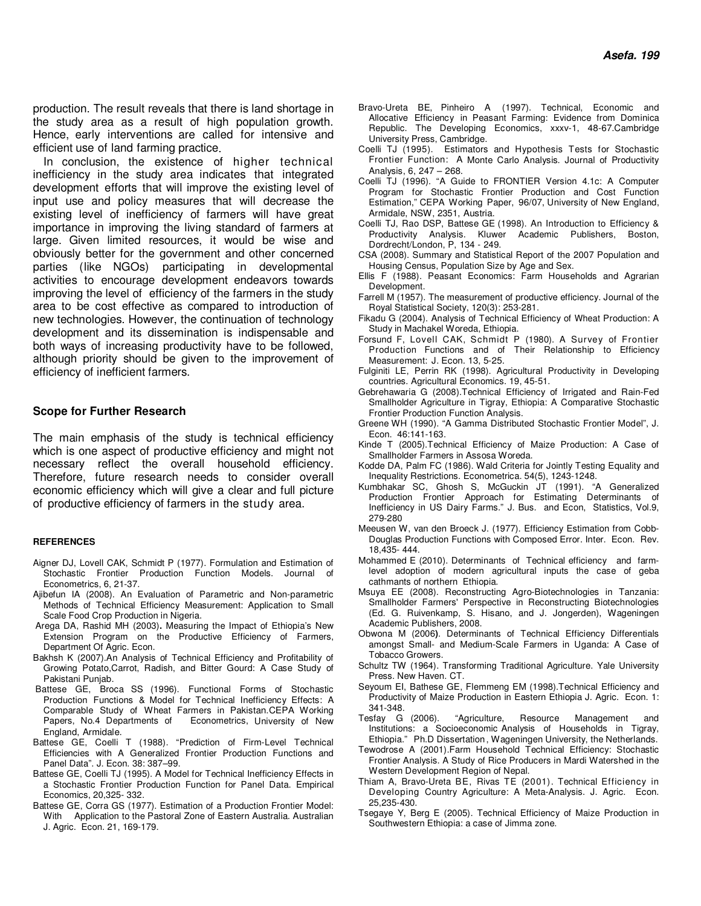production. The result reveals that there is land shortage in the study area as a result of high population growth. Hence, early interventions are called for intensive and efficient use of land farming practice.

In conclusion, the existence of higher technical inefficiency in the study area indicates that integrated development efforts that will improve the existing level of input use and policy measures that will decrease the existing level of inefficiency of farmers will have great importance in improving the living standard of farmers at large. Given limited resources, it would be wise and obviously better for the government and other concerned parties (like NGOs) participating in developmental activities to encourage development endeavors towards improving the level of efficiency of the farmers in the study area to be cost effective as compared to introduction of new technologies. However, the continuation of technology development and its dissemination is indispensable and both ways of increasing productivity have to be followed, although priority should be given to the improvement of efficiency of inefficient farmers.

### **Scope for Further Research**

The main emphasis of the study is technical efficiency which is one aspect of productive efficiency and might not necessary reflect the overall household efficiency. Therefore, future research needs to consider overall economic efficiency which will give a clear and full picture of productive efficiency of farmers in the study area.

### **REFERENCES**

- Aigner DJ, Lovell CAK, Schmidt P (1977). Formulation and Estimation of Stochastic Frontier Production Function Models. Journal of Econometrics, 6, 21-37.
- Ajibefun IA (2008). An Evaluation of Parametric and Non-parametric Methods of Technical Efficiency Measurement: Application to Small Scale Food Crop Production in Nigeria.
- Arega DA, Rashid MH (2003)**.** Measuring the Impact of Ethiopia's New Extension Program on the Productive Efficiency of Farmers, Department Of Agric. Econ.
- Bakhsh K (2007).An Analysis of Technical Efficiency and Profitability of Growing Potato,Carrot, Radish, and Bitter Gourd: A Case Study of Pakistani Punjab.
- Battese GE, Broca SS (1996). Functional Forms of Stochastic Production Functions & Model for Technical Inefficiency Effects: A Comparable Study of Wheat Farmers in Pakistan.CEPA Working Papers, No.4 Departments of Econometrics, University of New England, Armidale.
- Battese GE, Coelli T (1988). "Prediction of Firm-Level Technical Efficiencies with A Generalized Frontier Production Functions and Panel Data". J. Econ. 38: 387–99.
- Battese GE, Coelli TJ (1995). A Model for Technical Inefficiency Effects in a Stochastic Frontier Production Function for Panel Data. Empirical Economics, 20,325- 332.
- Battese GE, Corra GS (1977). Estimation of a Production Frontier Model: With Application to the Pastoral Zone of Eastern Australia. Australian J. Agric. Econ. 21, 169-179.
- Bravo-Ureta BE, Pinheiro A (1997). Technical, Economic and Allocative Efficiency in Peasant Farming: Evidence from Dominica Republic. The Developing Economics, xxxv-1, 48-67.Cambridge University Press, Cambridge.
- Coelli TJ (1995). Estimators and Hypothesis Tests for Stochastic Frontier Function: A Monte Carlo Analysis. Journal of Productivity Analysis, 6, 247 – 268.
- Coelli TJ (1996). "A Guide to FRONTIER Version 4.1c: A Computer Program for Stochastic Frontier Production and Cost Function Estimation," CEPA Working Paper, 96/07, University of New England, Armidale, NSW, 2351, Austria.
- Coelli TJ, Rao DSP, Battese GE (1998). An Introduction to Efficiency & Productivity Analysis. Kluwer Academic Publishers, Boston, Dordrecht/London, P, 134 - 249.
- CSA (2008). Summary and Statistical Report of the 2007 Population and Housing Census, Population Size by Age and Sex.
- Ellis F (1988). Peasant Economics: Farm Households and Agrarian Development.
- Farrell M (1957). The measurement of productive efficiency. Journal of the Royal Statistical Society, 120(3): 253-281.
- Fikadu G (2004). Analysis of Technical Efficiency of Wheat Production: A Study in Machakel Woreda, Ethiopia.
- Forsund F, Lovell CAK, Schmidt P (1980). A Survey of Frontier Production Functions and of Their Relationship to Efficiency Measurement: J. Econ. 13, 5-25.
- Fulginiti LE, Perrin RK (1998). Agricultural Productivity in Developing countries. Agricultural Economics. 19, 45-51.
- Gebrehawaria G (2008).Technical Efficiency of Irrigated and Rain-Fed Smallholder Agriculture in Tigray, Ethiopia: A Comparative Stochastic Frontier Production Function Analysis.
- Greene WH (1990). "A Gamma Distributed Stochastic Frontier Model", J. Econ. 46:141-163.
- Kinde T (2005).Technical Efficiency of Maize Production: A Case of Smallholder Farmers in Assosa Woreda.
- Kodde DA, Palm FC (1986). Wald Criteria for Jointly Testing Equality and Inequality Restrictions. Econometrica. 54(5), 1243-1248.
- Kumbhakar SC, Ghosh S, McGuckin JT (1991). "A Generalized Production Frontier Approach for Estimating Determinants of Inefficiency in US Dairy Farms." J. Bus. and Econ, Statistics, Vol.9, 279-280
- Meeusen W, van den Broeck J. (1977). Efficiency Estimation from Cobb-Douglas Production Functions with Composed Error. Inter. Econ. Rev. 18,435- 444.
- Mohammed E (2010). Determinants of Technical efficiency and farmlevel adoption of modern agricultural inputs the case of geba cathmants of northern Ethiopia.
- Msuya EE (2008). Reconstructing Agro-Biotechnologies in Tanzania: Smallholder Farmers' Perspective in Reconstructing Biotechnologies (Ed. G. Ruivenkamp, S. Hisano, and J. Jongerden), Wageningen Academic Publishers, 2008.
- Obwona M (2006**)**. Determinants of Technical Efficiency Differentials amongst Small- and Medium-Scale Farmers in Uganda: A Case of Tobacco Growers.
- Schultz TW (1964). Transforming Traditional Agriculture. Yale University Press. New Haven. CT.
- Seyoum EI, Bathese GE, Flemmeng EM (1998).Technical Efficiency and Productivity of Maize Production in Eastern Ethiopia J. Agric. Econ. 1: 341-348.
- Tesfay G (2006). "Agriculture, Resource Management and Institutions: a Socioeconomic Analysis of Households in Tigray, Ethiopia." Ph.D Dissertation , Wageningen University, the Netherlands.
- Tewodrose A (2001).Farm Household Technical Efficiency: Stochastic Frontier Analysis. A Study of Rice Producers in Mardi Watershed in the Western Development Region of Nepal.
- Thiam A, Bravo-Ureta BE, Rivas TE (2001). Technical Efficiency in Developing Country Agriculture: A Meta-Analysis. J. Agric. Econ. 25,235-430.
- Tsegaye Y, Berg E (2005). Technical Efficiency of Maize Production in Southwestern Ethiopia: a case of Jimma zone.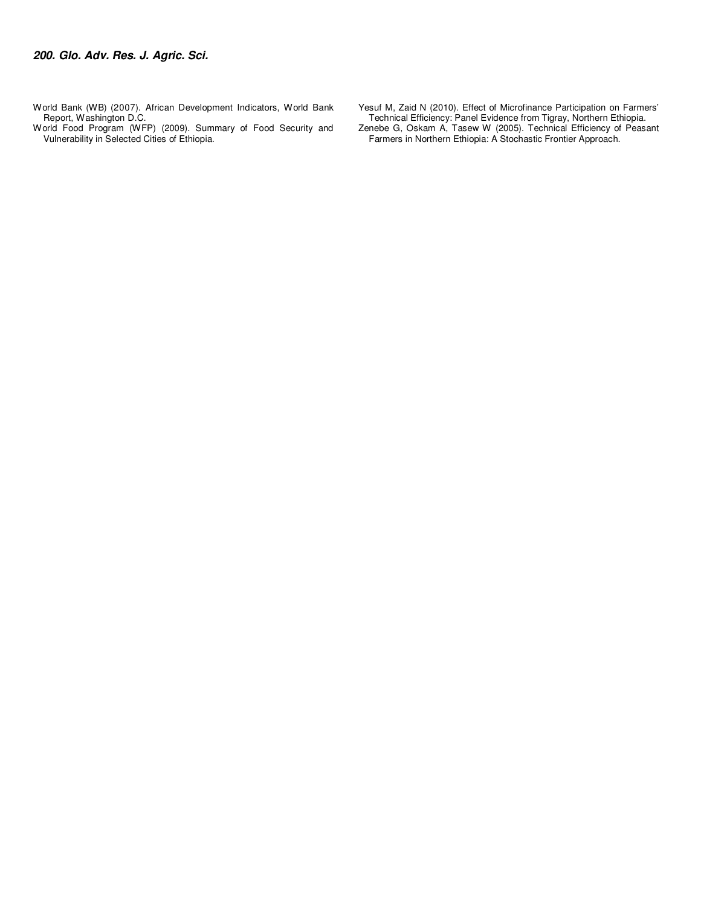- World Bank (WB) (2007). African Development Indicators, World Bank Report, Washington D.C.
- World Food Program (WFP) (2009). Summary of Food Security and Vulnerability in Selected Cities of Ethiopia.

Yesuf M, Zaid N (2010). Effect of Microfinance Participation on Farmers' Technical Efficiency: Panel Evidence from Tigray, Northern Ethiopia.

Zenebe G, Oskam A, Tasew W (2005). Technical Efficiency of Peasant Farmers in Northern Ethiopia: A Stochastic Frontier Approach.